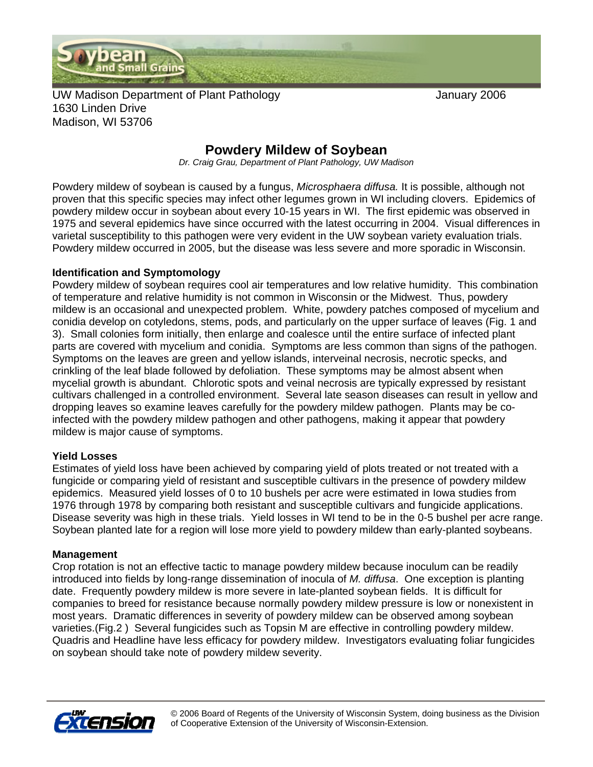

UW Madison Department of Plant Pathology **COVID-100 Manuary 2006** 1630 Linden Drive Madison, WI 53706

## **Powdery Mildew of Soybean**

*Dr. Craig Grau, Department of Plant Pathology, UW Madison* 

Powdery mildew of soybean is caused by a fungus, *Microsphaera diffusa.* It is possible, although not proven that this specific species may infect other legumes grown in WI including clovers. Epidemics of powdery mildew occur in soybean about every 10-15 years in WI. The first epidemic was observed in 1975 and several epidemics have since occurred with the latest occurring in 2004. Visual differences in varietal susceptibility to this pathogen were very evident in the UW soybean variety evaluation trials. Powdery mildew occurred in 2005, but the disease was less severe and more sporadic in Wisconsin.

#### **Identification and Symptomology**

Powdery mildew of soybean requires cool air temperatures and low relative humidity. This combination of temperature and relative humidity is not common in Wisconsin or the Midwest. Thus, powdery mildew is an occasional and unexpected problem. White, powdery patches composed of mycelium and conidia develop on cotyledons, stems, pods, and particularly on the upper surface of leaves (Fig. 1 and 3). Small colonies form initially, then enlarge and coalesce until the entire surface of infected plant parts are covered with mycelium and conidia. Symptoms are less common than signs of the pathogen. Symptoms on the leaves are green and yellow islands, interveinal necrosis, necrotic specks, and crinkling of the leaf blade followed by defoliation. These symptoms may be almost absent when mycelial growth is abundant. Chlorotic spots and veinal necrosis are typically expressed by resistant cultivars challenged in a controlled environment. Several late season diseases can result in yellow and dropping leaves so examine leaves carefully for the powdery mildew pathogen. Plants may be coinfected with the powdery mildew pathogen and other pathogens, making it appear that powdery mildew is major cause of symptoms.

### **Yield Losses**

Estimates of yield loss have been achieved by comparing yield of plots treated or not treated with a fungicide or comparing yield of resistant and susceptible cultivars in the presence of powdery mildew epidemics. Measured yield losses of 0 to 10 bushels per acre were estimated in Iowa studies from 1976 through 1978 by comparing both resistant and susceptible cultivars and fungicide applications. Disease severity was high in these trials. Yield losses in WI tend to be in the 0-5 bushel per acre range. Soybean planted late for a region will lose more yield to powdery mildew than early-planted soybeans.

#### **Management**

Crop rotation is not an effective tactic to manage powdery mildew because inoculum can be readily introduced into fields by long-range dissemination of inocula of *M. diffusa*. One exception is planting date. Frequently powdery mildew is more severe in late-planted soybean fields. It is difficult for companies to breed for resistance because normally powdery mildew pressure is low or nonexistent in most years. Dramatic differences in severity of powdery mildew can be observed among soybean varieties.(Fig.2 ) Several fungicides such as Topsin M are effective in controlling powdery mildew. Quadris and Headline have less efficacy for powdery mildew. Investigators evaluating foliar fungicides on soybean should take note of powdery mildew severity.